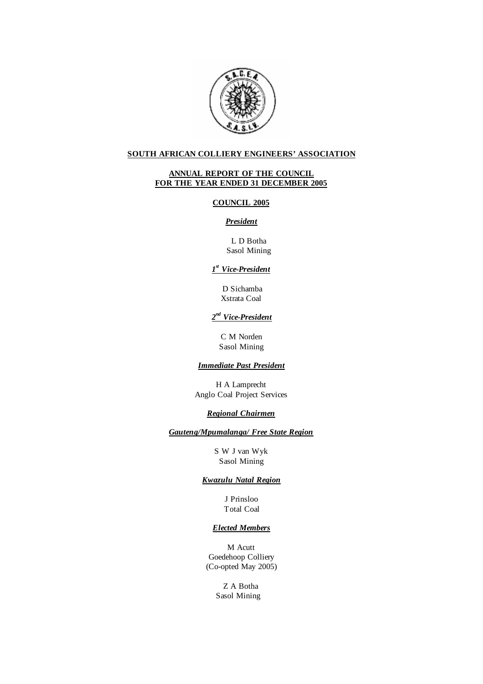

# **SOUTH AFRICAN COLLIERY ENGINEERS' ASSOCIATION**

# **ANNUAL REPORT OF THE COUNCIL FOR THE YEAR ENDED 31 DECEMBER 2005**

### **COUNCIL 2005**

# *President*

 L D Botha Sasol Mining

# *1 st Vice-President*

D Sichamba Xstrata Coal

# *2 nd Vice-President*

C M Norden Sasol Mining

# *Immediate Past President*

H A Lamprecht Anglo Coal Project Services

# *Regional Chairmen*

*Gauteng/Mpumalanga/ Free State Region*

S W J van Wyk Sasol Mining

# *Kwazulu Natal Region*

J Prinsloo Total Coal

## *Elected Members*

M Acutt Goedehoop Colliery (Co-opted May 2005)

> Z A Botha Sasol Mining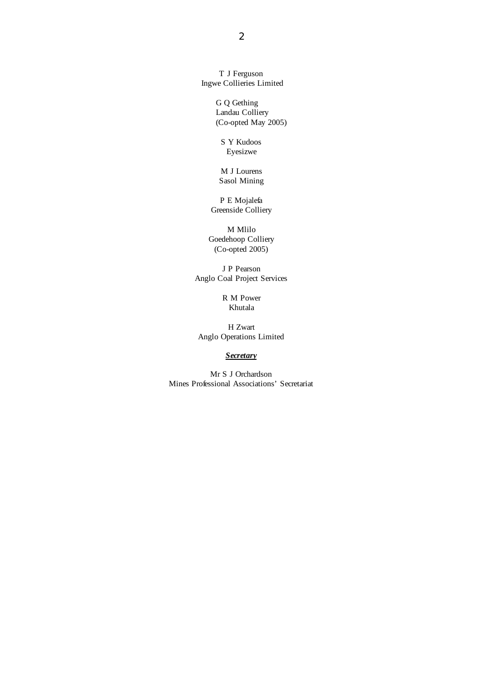T J Ferguson Ingwe Collieries Limited

> G Q Gething Landau Colliery (Co-opted May 2005)

S Y Kudoos Eyesizwe

M J Lourens Sasol Mining

P E Mojalefa Greenside Colliery

M Mlilo Goedehoop Colliery (Co-opted 2005)

J P Pearson Anglo Coal Project Services

> R M Power Khutala

H Zwart Anglo Operations Limited

*Secretary*

Mr S J Orchardson Mines Professional Associations' Secretariat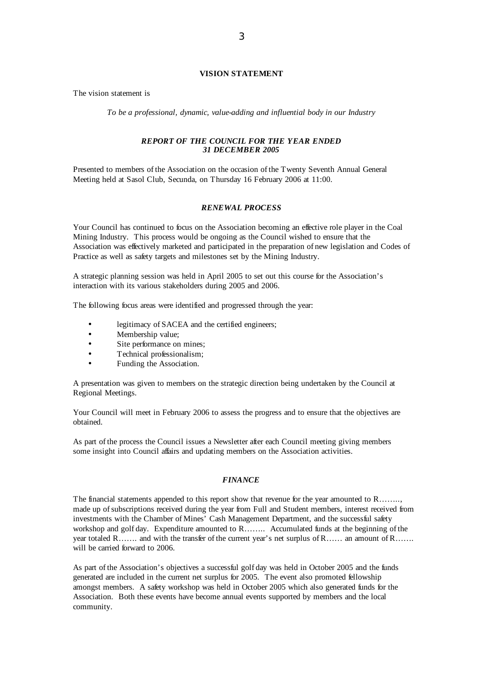### **VISION STATEMENT**

The vision statement is

*To be a professional, dynamic, value-adding and influential body in our Industry* 

### *REPORT OF THE COUNCIL FOR THE YEAR ENDED 31 DECEMBER 2005*

Presented to members of the Association on the occasion of the Twenty Seventh Annual General Meeting held at Sasol Club, Secunda, on Thursday 16 February 2006 at 11:00.

#### *RENEWAL PROCESS*

Your Council has continued to focus on the Association becoming an effective role player in the Coal Mining Industry. This process would be ongoing as the Council wished to ensure that the Association was effectively marketed and participated in the preparation of new legislation and Codes of Practice as well as safety targets and milestones set by the Mining Industry.

A strategic planning session was held in April 2005 to set out this course for the Association's interaction with its various stakeholders during 2005 and 2006.

The following focus areas were identified and progressed through the year:

- legitimacy of SACEA and the certified engineers;
- Membership value:
- Site performance on mines;
- Technical professionalism;
- Funding the Association.

A presentation was given to members on the strategic direction being undertaken by the Council at Regional Meetings.

Your Council will meet in February 2006 to assess the progress and to ensure that the objectives are obtained.

As part of the process the Council issues a Newsletter after each Council meeting giving members some insight into Council affairs and updating members on the Association activities.

## *FINANCE*

The financial statements appended to this report show that revenue for the year amounted to R…….. made up ofsubscriptions received during the year from Full and Student members, interest received from investments with the Chamber of Mines' Cash Management Department, and the successful safety workshop and golf day. Expenditure amounted to R…….. Accumulated funds at the beginning of the year totaled R……. and with the transfer of the current year's net surplus of R…… an amount of R……. will be carried forward to 2006.

As part of the Association's objectives a successful golf day was held in October 2005 and the funds generated are included in the current net surplus for 2005. The event also promoted fellowship amongst members. A safety workshop was held in October 2005 which also generated funds for the Association. Both these events have become annual events supported by members and the local community.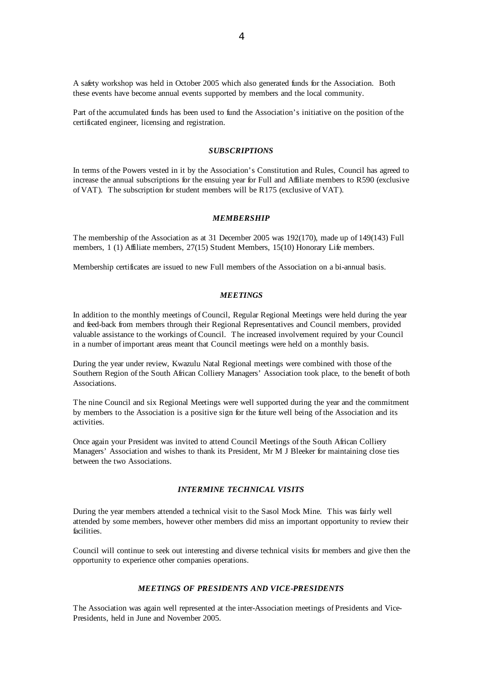A safety workshop was held in October 2005 which also generated funds for the Association. Both these events have become annual events supported by members and the local community.

Part of the accumulated funds has been used to fund the Association's initiative on the position of the certificated engineer, licensing and registration.

#### *SUBSCRIPTIONS*

In terms of the Powers vested in it by the Association's Constitution and Rules, Council has agreed to increase the annual subscriptions for the ensuing year for Full and Affiliate members to R590 (exclusive of VAT). The subscription for student members will be R175 (exclusive of VAT).

### *MEMBERSHIP*

The membership of the Association as at 31 December 2005 was 192(170), made up of 149(143) Full members, 1 (1) Affiliate members, 27(15) Student Members, 15(10) Honorary Life members.

Membership certificates are issued to new Full members of the Association on a bi-annual basis.

#### *MEETINGS*

In addition to the monthly meetings of Council, Regular Regional Meetings were held during the year and feed-back from members through their Regional Representatives and Council members, provided valuable assistance to the workings of Council. The increased involvement required by your Council in a number of important areas meant that Council meetings were held on a monthly basis.

During the year under review, Kwazulu Natal Regional meetings were combined with those of the Southern Region of the South African Colliery Managers' Association took place, to the benefit of both Associations.

The nine Council and six Regional Meetings were well supported during the year and the commitment by members to the Association is a positive sign for the future well being of the Association and its activities.

Once again your President was invited to attend Council Meetings of the South African Colliery Managers' Association and wishes to thank its President, Mr M J Bleeker for maintaining close ties between the two Associations.

### *INTERMINE TECHNICAL VISITS*

During the year members attended a technical visit to the Sasol Mock Mine. This was fairly well attended by some members, however other members did miss an important opportunity to review their facilities.

Council will continue to seek out interesting and diverse technical visits for members and give then the opportunity to experience other companies operations.

#### *MEETINGS OF PRESIDENTS AND VICE-PRESIDENTS*

The Association was again well represented at the inter-Association meetings of Presidents and Vice-Presidents, held in June and November 2005.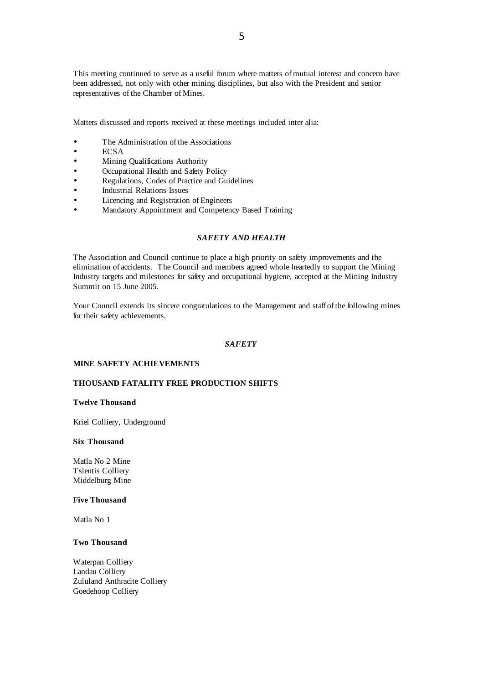This meeting continued to serve as a useful forum where matters of mutual interest and concern have been addressed, not only with other mining disciplines, but also with the President and senior representatives of the Chamber of Mines.

Matters discussed and reports received at these meetings included inter alia:

- The Administration of the Associations
- $\bullet$  ECSA
- Mining Qualifications Authority
- Occupational Health and Safety Policy
- Regulations, Codes of Practice and Guidelines
- Industrial Relations Issues
- Licencing and Registration of Engineers
- Mandatory Appointment and Competency Based Training

# *SAFETY AND HEALTH*

The Association and Council continue to place a high priority on safety improvements and the elimination of accidents. The Council and members agreed whole heartedly to support the Mining Industry targets and milestones for safety and occupational hygiene, accepted at the Mining Industry Summit on 15 June 2005.

Your Council extends its sincere congratulations to the Management and staff of the following mines for their safety achievements.

### *SAFETY*

#### **MINE SAFETY ACHIEVEMENTS**

### **THOUSAND FATALITY FREE PRODUCTION SHIFTS**

#### **Twelve Thousand**

Kriel Colliery, Underground

## **Six Thousand**

Matla No 2 Mine Tslentis Colliery Middelburg Mine

### **Five Thousand**

Matla No 1

### **Two Thousand**

Waterpan Colliery Landau Colliery Zululand Anthracite Colliery Goedehoop Colliery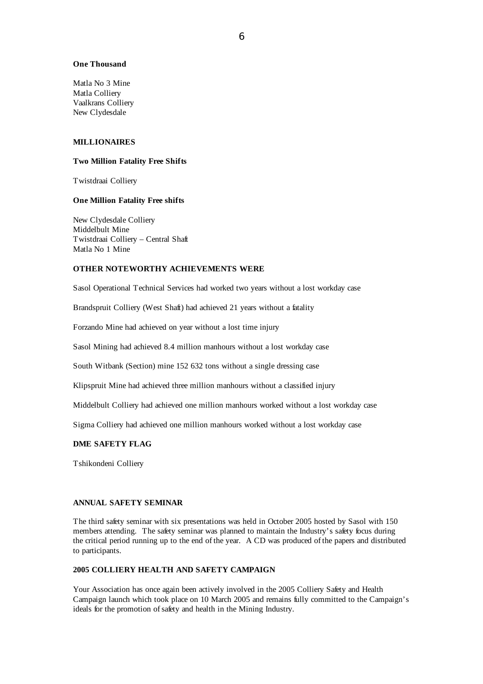### **One Thousand**

Matla No 3 Mine Matla Colliery Vaalkrans Colliery New Clydesdale

### **MILLIONAIRES**

#### **Two Million Fatality Free Shifts**

Twistdraai Colliery

### **One Million Fatality Free shifts**

New Clydesdale Colliery Middelbult Mine Twistdraai Colliery – Central Shaft Matla No 1 Mine

### **OTHER NOTEWORTHY ACHIEVEMENTS WERE**

Sasol Operational Technical Services had worked two years without a lost workday case

Brandspruit Colliery (West Shaft) had achieved 21 years without a fatality

Forzando Mine had achieved on year without a lost time injury

Sasol Mining had achieved 8.4 million manhours without a lost workday case

South Witbank (Section) mine 152 632 tons without a single dressing case

Klipspruit Mine had achieved three million manhours without a classified injury

Middelbult Colliery had achieved one million manhours worked without a lost workday case

Sigma Colliery had achieved one million manhours worked without a lost workday case

### **DME SAFETY FLAG**

Tshikondeni Colliery

# **ANNUAL SAFETY SEMINAR**

The third safety seminar with six presentations was held in October 2005 hosted by Sasol with 150 members attending. The safety seminar was planned to maintain the Industry's safety focus during the critical period running up to the end of the year. A CD was produced of the papers and distributed to participants.

# **2005 COLLIERY HEALTH AND SAFETY CAMPAIGN**

Your Association has once again been actively involved in the 2005 Colliery Safety and Health Campaign launch which took place on 10 March 2005 and remains fully committed to the Campaign's ideals for the promotion ofsafety and health in the Mining Industry.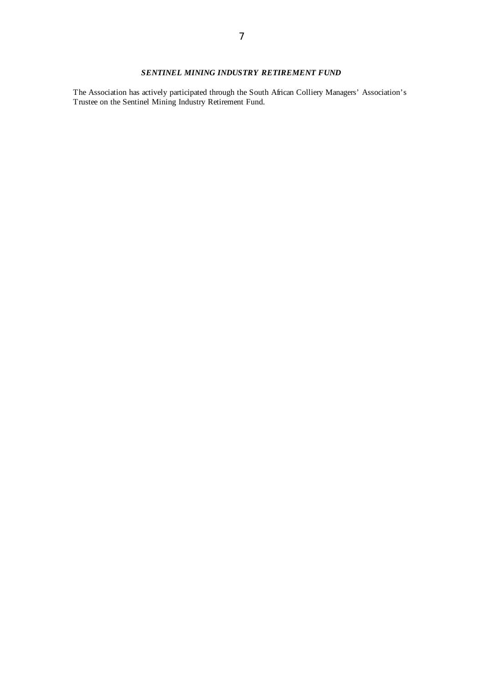# *SENTINEL MINING INDUSTRY RETIREMENT FUND*

The Association has actively participated through the South African Colliery Managers' Association's Trustee on the Sentinel Mining Industry Retirement Fund.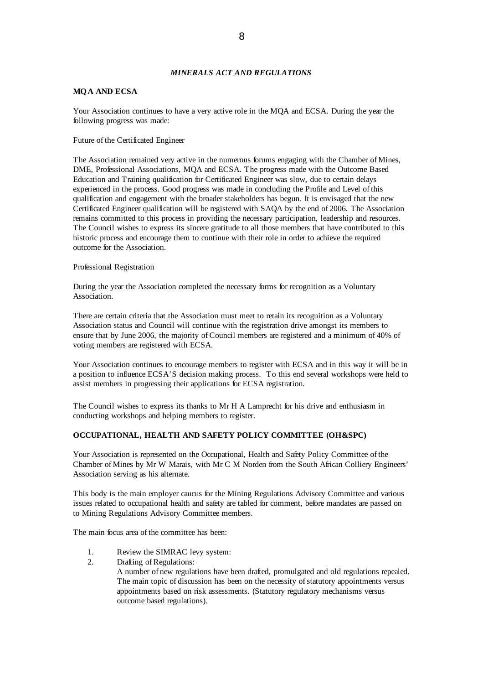### *MINERALS ACT AND REGULATIONS*

### **MQA AND ECSA**

Your Association continues to have a very active role in the MQA and ECSA. During the year the following progress was made:

Future of the Certificated Engineer

The Association remained very active in the numerous forums engaging with the Chamber of Mines, DME, Professional Associations, MQA and ECSA. The progress made with the Outcome Based Education and Training qualification for Certificated Engineer was slow, due to certain delays experienced in the process. Good progress was made in concluding the Profile and Level of this qualification and engagement with the broader stakeholders has begun. It is envisaged that the new Certificated Engineer qualification will be registered with SAQA by the end of 2006. The Association remains committed to this process in providing the necessary participation, leadership and resources. The Council wishes to express its sincere gratitude to all those members that have contributed to this historic process and encourage them to continue with their role in order to achieve the required outcome for the Association.

#### Professional Registration

During the year the Association completed the necessary forms for recognition as a Voluntary Association.

There are certain criteria that the Association must meet to retain its recognition as a Voluntary Association status and Council will continue with the registration drive amongst its members to ensure that by June 2006, the majority of Council members are registered and a minimum of 40% of voting members are registered with ECSA.

Your Association continues to encourage members to register with ECSA and in this way it will be in a position to influence ECSA'S decision making process. To this end several workshops were held to assist members in progressing their applications for ECSA registration.

The Council wishes to express its thanks to Mr H A Lamprecht for his drive and enthusiasm in conducting workshops and helping members to register.

### **OCCUPATIONAL, HEALTH AND SAFETY POLICY COMMITTEE (OH&SPC)**

Your Association is represented on the Occupational, Health and Safety Policy Committee of the Chamber of Mines by Mr W Marais, with Mr C M Norden from the South African Colliery Engineers' Association serving as his alternate.

This body is the main employer caucus for the Mining Regulations Advisory Committee and various issues related to occupational health and safety are tabled for comment, before mandates are passed on to Mining Regulations Advisory Committee members.

The main focus area of the committee has been:

- 1. Review the SIMRAC levy system:
- 2. Drafting of Regulations:

A number of new regulations have been drafted, promulgated and old regulations repealed. The main topic of discussion has been on the necessity of statutory appointments versus appointments based on risk assessments. (Statutory regulatory mechanisms versus outcome based regulations).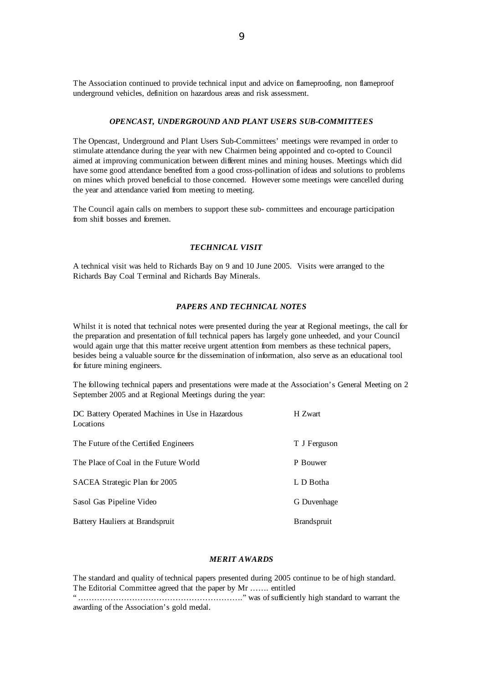The Association continued to provide technical input and advice on flameproofing, non flameproof underground vehicles, definition on hazardous areas and risk assessment.

#### *OPENCAST, UNDERGROUND AND PLANT USERS SUB-COMMITTEES*

The Opencast, Underground and Plant Users Sub-Committees' meetings were revamped in order to stimulate attendance during the year with new Chairmen being appointed and co-opted to Council aimed at improving communication between different mines and mining houses. Meetings which did have some good attendance benefited from a good cross-pollination of ideas and solutions to problems on mines which proved beneficial to those concerned. However some meetings were cancelled during the year and attendance varied from meeting to meeting.

The Council again calls on members to support these sub- committees and encourage participation from shift bosses and foremen.

### *TECHNICAL VISIT*

A technical visit was held to Richards Bay on 9 and 10 June 2005. Visits were arranged to the Richards Bay Coal Terminal and Richards Bay Minerals.

### *PAPERS AND TECHNICAL NOTES*

Whilst it is noted that technical notes were presented during the year at Regional meetings, the call for the preparation and presentation of full technical papers has largely gone unheeded, and your Council would again urge that this matter receive urgent attention from members as these technical papers, besides being a valuable source for the dissemination of information, also serve as an educational tool for future mining engineers.

The following technical papers and presentations were made at the Association's General Meeting on 2 September 2005 and at Regional Meetings during the year:

| DC Battery Operated Machines in Use in Hazardous<br>Locations | H Zwart            |
|---------------------------------------------------------------|--------------------|
| The Future of the Certified Engineers                         | T J Ferguson       |
| The Place of Coal in the Future World                         | P Bouwer           |
| SACEA Strategic Plan for 2005                                 | L D Botha          |
| Sasol Gas Pipeline Video                                      | G Duvenhage        |
| Battery Hauliers at Brandspruit                               | <b>Brandspruit</b> |

### *MERIT AWARDS*

The standard and quality of technical papers presented during 2005 continue to be of high standard. The Editorial Committee agreed that the paper by Mr ……. entitled "……………………………………………………." was ofsufficiently high standard to warrant the awarding of the Association's gold medal.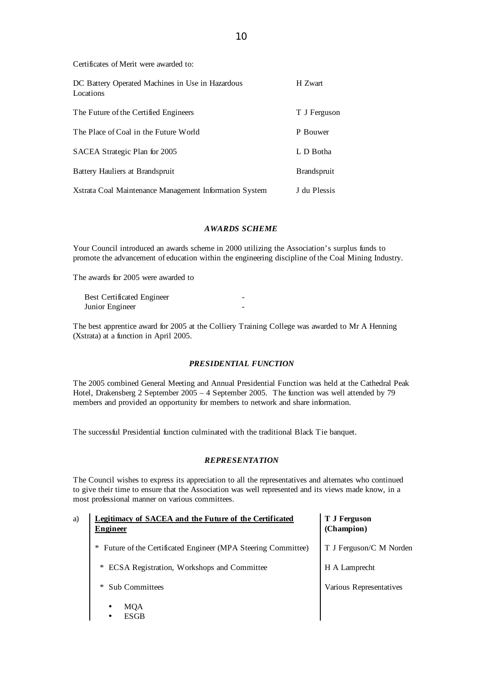Certificates of Merit were awarded to:

| DC Battery Operated Machines in Use in Hazardous<br>Locations | H Zwart            |
|---------------------------------------------------------------|--------------------|
| The Future of the Certified Engineers                         | T J Ferguson       |
| The Place of Coal in the Future World                         | P Bouwer           |
| SACEA Strategic Plan for 2005                                 | L D Botha          |
| Battery Hauliers at Brandspruit                               | <b>Brandspruit</b> |
| Xstrata Coal Maintenance Management Information System        | J du Plessis       |

# *AWARDS SCHEME*

Your Council introduced an awards scheme in 2000 utilizing the Association's surplus funds to promote the advancement of education within the engineering discipline of the Coal Mining Industry.

The awards for 2005 were awarded to

| <b>Best Certificated Engineer</b> |  |
|-----------------------------------|--|
| Junior Engineer                   |  |

The best apprentice award for 2005 at the Colliery Training College was awarded to Mr A Henning (Xstrata) at a function in April 2005.

### *PRESIDENTIAL FUNCTION*

The 2005 combined General Meeting and Annual Presidential Function was held at the Cathedral Peak Hotel, Drakensberg 2 September 2005 – 4 September 2005. The function was well attended by 79 members and provided an opportunity for members to network and share information.

The successful Presidential function culminated with the traditional Black Tie banquet.

### *REPRESENTATION*

The Council wishes to express its appreciation to all the representatives and alternates who continued to give their time to ensure that the Association was well represented and its views made know, in a most professional manner on various committees.

| a) | <b>Legitimacy of SACEA and the Future of the Certificated</b><br><b>Engineer</b> | <b>T J Ferguson</b><br>(Champion) |
|----|----------------------------------------------------------------------------------|-----------------------------------|
|    | Future of the Certificated Engineer (MPA Steering Committee)<br>$\ast$           | T J Ferguson/C M Norden           |
|    | ECSA Registration, Workshops and Committee<br>$\ast$                             | H A Lamprecht                     |
|    | <b>Sub Committees</b><br>∗                                                       | Various Representatives           |
|    | MQA<br>٠<br>ESGB<br>٠                                                            |                                   |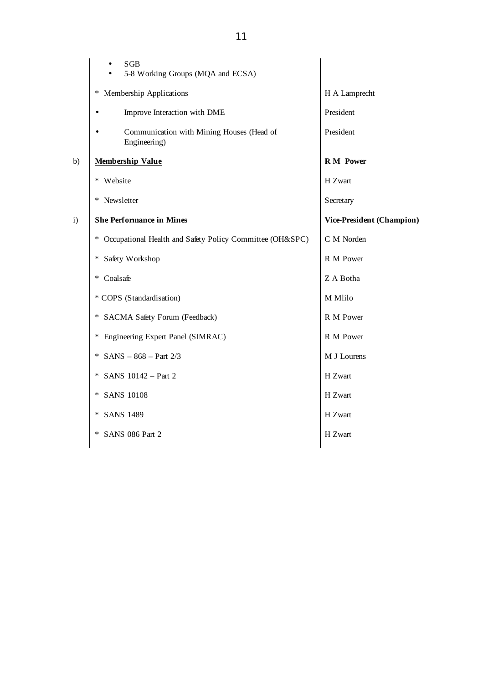|    | <b>SGB</b><br>5-8 Working Groups (MQA and ECSA)               |                           |
|----|---------------------------------------------------------------|---------------------------|
|    | Membership Applications<br>∗                                  | H A Lamprecht             |
|    | Improve Interaction with DME                                  | President                 |
|    | Communication with Mining Houses (Head of<br>Engineering)     | President                 |
| b) | <b>Membership Value</b>                                       | <b>R</b> M Power          |
|    | Website<br>∗                                                  | H Zwart                   |
|    | * Newsletter                                                  | Secretary                 |
| i) | <b>She Performance in Mines</b>                               | Vice-President (Champion) |
|    | Occupational Health and Safety Policy Committee (OH&SPC)<br>∗ | C M Norden                |
|    | Safety Workshop<br>∗                                          | R M Power                 |
|    | Coalsafe<br>∗                                                 | Z A Botha                 |
|    | * COPS (Standardisation)                                      | M Mlilo                   |
|    | SACMA Safety Forum (Feedback)<br>∗                            | R M Power                 |
|    | Engineering Expert Panel (SIMRAC)<br>∗                        | R M Power                 |
|    | $SANS - 868 - Part 2/3$<br>$\ast$                             | M J Lourens               |
|    | SANS 10142 - Part 2<br>∗                                      | H Zwart                   |
|    | <b>SANS 10108</b><br>*                                        | H Zwart                   |
|    | <b>SANS 1489</b><br>∗                                         | H Zwart                   |
|    | SANS 086 Part 2<br>$\ast$                                     | H Zwart                   |
|    |                                                               |                           |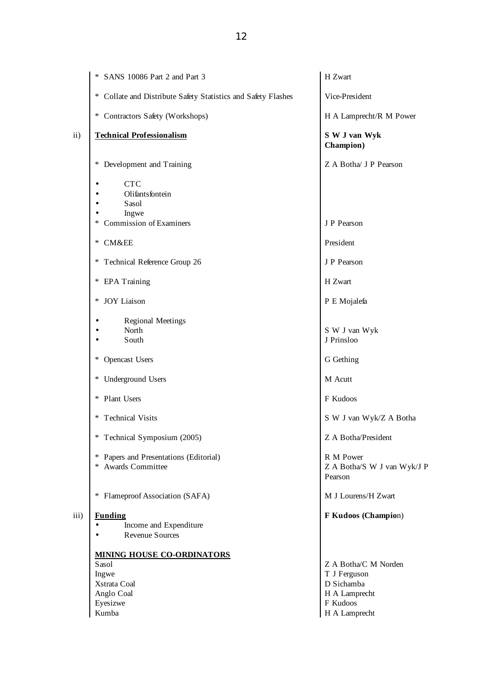|               | * SANS 10086 Part 2 and Part 3                                                         | H Zwart                                                                                          |
|---------------|----------------------------------------------------------------------------------------|--------------------------------------------------------------------------------------------------|
|               | * Collate and Distribute Safety Statistics and Safety Flashes                          | Vice-President                                                                                   |
|               | * Contractors Safety (Workshops)                                                       | H A Lamprecht/R M Power                                                                          |
| $\mathbf{ii}$ | <b>Technical Professionalism</b>                                                       | S W J van Wyk<br>Champion)                                                                       |
|               | Development and Training<br>$\ast$                                                     | Z A Botha/ J P Pearson                                                                           |
|               | <b>CTC</b><br>Olifantsfontein<br>Sasol<br>Ingwe<br><b>Commission of Examiners</b><br>∗ | J P Pearson                                                                                      |
|               |                                                                                        |                                                                                                  |
|               | CM&EE<br>$\ast$                                                                        | President                                                                                        |
|               | Technical Reference Group 26<br>$\ast$                                                 | J P Pearson                                                                                      |
|               | <b>EPA</b> Training<br>∗                                                               | H Zwart                                                                                          |
|               | <b>JOY</b> Liaison<br>$\ast$                                                           | P E Mojalefa                                                                                     |
|               | <b>Regional Meetings</b><br>North<br>South                                             | S W J van Wyk<br>J Prinsloo                                                                      |
|               | <b>Opencast Users</b><br>∗                                                             | G Gething                                                                                        |
|               | <b>Underground Users</b><br>$*$                                                        | M Acutt                                                                                          |
|               | Plant Users<br>$\ast$                                                                  | F Kudoos                                                                                         |
|               | <b>Technical Visits</b><br>∗                                                           | S W J van Wyk/Z A Botha                                                                          |
|               | Technical Symposium (2005)<br>∗                                                        | Z A Botha/President                                                                              |
|               | * Papers and Presentations (Editorial)<br>Awards Committee<br>$\ast$                   | R M Power<br>Z A Botha/S W J van Wyk/J P<br>Pearson                                              |
|               | Flameproof Association (SAFA)<br>∗                                                     | M J Lourens/H Zwart                                                                              |
| iii)          | <b>Funding</b><br>Income and Expenditure<br><b>Revenue Sources</b>                     | F Kudoos (Champion)                                                                              |
|               | <b>MINING HOUSE CO-ORDINATORS</b>                                                      |                                                                                                  |
|               | Sasol<br>Ingwe<br>Xstrata Coal<br>Anglo Coal<br>Eyesizwe<br>Kumba                      | Z A Botha/C M Norden<br>T J Ferguson<br>D Sichamba<br>H A Lamprecht<br>F Kudoos<br>H A Lamprecht |